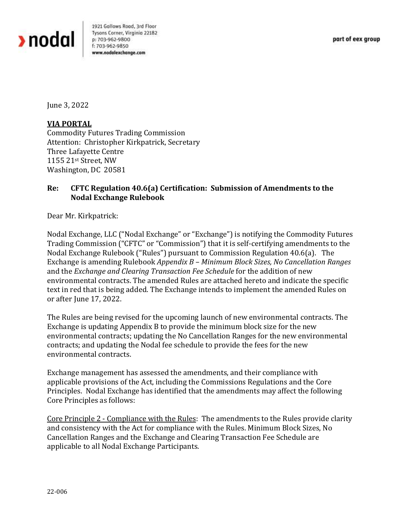

1921 Gallows Road, 3rd Floor Tysons Corner, Virginia 22182 p: 703-962-9800 f: 703-962-9850 www.nodalexchange.com

June 3, 2022

## **VIA PORTAL**

Commodity Futures Trading Commission Attention: Christopher Kirkpatrick, Secretary Three Lafayette Centre 1155 21st Street, NW Washington, DC 20581

## **Re: CFTC Regulation 40.6(a) Certification: Submission of Amendments to the Nodal Exchange Rulebook**

Dear Mr. Kirkpatrick:

Nodal Exchange, LLC ("Nodal Exchange" or "Exchange") is notifying the Commodity Futures Trading Commission ("CFTC" or "Commission") that it is self-certifying amendments to the Nodal Exchange Rulebook ("Rules") pursuant to Commission Regulation 40.6(a). The Exchange is amending Rulebook *Appendix B – Minimum Block Sizes, No Cancellation Ranges* and the *Exchange and Clearing Transaction Fee Schedule* for the addition of new environmental contracts. The amended Rules are attached hereto and indicate the specific text in red that is being added. The Exchange intends to implement the amended Rules on or after June 17, 2022.

The Rules are being revised for the upcoming launch of new environmental contracts. The Exchange is updating Appendix B to provide the minimum block size for the new environmental contracts; updating the No Cancellation Ranges for the new environmental contracts; and updating the Nodal fee schedule to provide the fees for the new environmental contracts.

Exchange management has assessed the amendments, and their compliance with applicable provisions of the Act, including the Commissions Regulations and the Core Principles. Nodal Exchange has identified that the amendments may affect the following Core Principles as follows:

Core Principle 2 - Compliance with the Rules: The amendments to the Rules provide clarity and consistency with the Act for compliance with the Rules. Minimum Block Sizes, No Cancellation Ranges and the Exchange and Clearing Transaction Fee Schedule are applicable to all Nodal Exchange Participants.